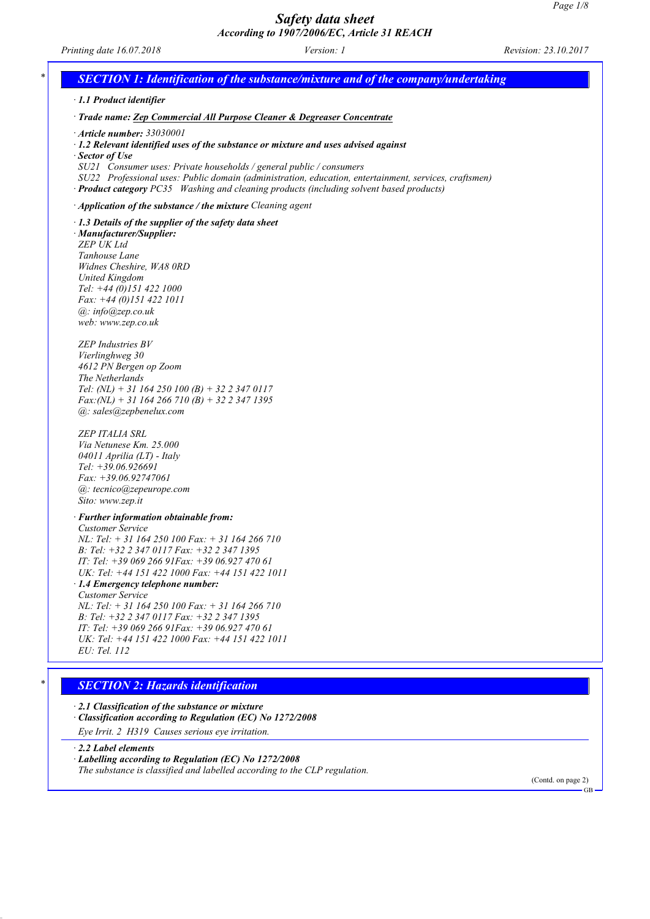*Printing date 16.07.2018 Version: 1 Revision: 23.10.2017*

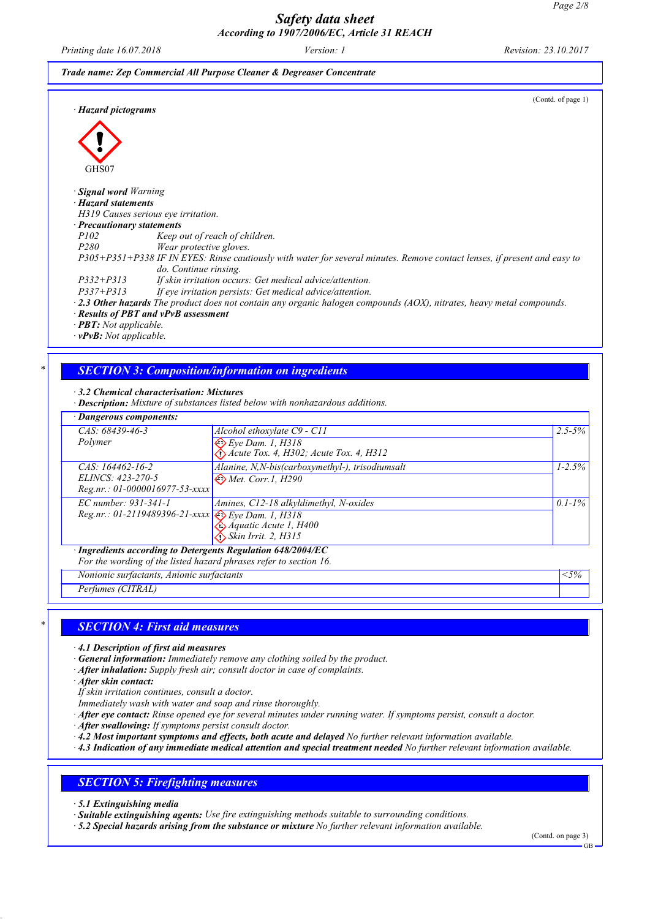*Printing date 16.07.2018 Version: 1 Revision: 23.10.2017*

(Contd. of page 1)

| Trade name: Zep Commercial All Purpose Cleaner & Degreaser Concentrate |  |  |  |  |  |
|------------------------------------------------------------------------|--|--|--|--|--|
|------------------------------------------------------------------------|--|--|--|--|--|

*· Hazard pictograms*



GHS07 *· Signal word Warning · Hazard statements H319 Causes serious eye irritation. · Precautionary statements P102 Keep out of reach of children. P280 Wear protective gloves.* P305+P351+P338 IF IN EYES: Rinse cautiously with water for several minutes. Remove contact lenses, if present and easy to *do. Continue rinsing. P332+P313 If skin irritation occurs: Get medical advice/attention. P337+P313 If eye irritation persists: Get medical advice/attention.* 2.3 Other hazards The product does not contain any organic halogen compounds (AOX), nitrates, heavy metal compounds. *· Results of PBT and vPvB assessment*

*· PBT: Not applicable.*

*· vPvB: Not applicable.*

## *\* SECTION 3: Composition/information on ingredients*

*· 3.2 Chemical characterisation: Mixtures*

*· Description: Mixture of substances listed below with nonhazardous additions.*

| · Dangerous components:                                                  |                                                    |             |
|--------------------------------------------------------------------------|----------------------------------------------------|-------------|
| CAS: 68439-46-3                                                          | Alcohol ethoxylate C9 - C11                        | $2.5 - 5\%$ |
| Polymer                                                                  | $\overline{\bigotimes E}$ ye Dam. 1, H318          |             |
|                                                                          | $\bigwedge$ Acute Tox. 4, H302; Acute Tox. 4, H312 |             |
| CAS: 164462-16-2                                                         | Alanine, N,N-bis(carboxymethyl-), trisodiumsalt    | $1 - 2.5\%$ |
| ELINCS: 423-270-5                                                        | $\leftrightarrow$ Met. Corr.1, H290                |             |
| $Reg.nr.: 01-0000016977-53-xxxx$                                         |                                                    |             |
| $EC$ number: 931-341-1                                                   | Amines, C12-18 alkyldimethyl, N-oxides             | $0.1 - 1\%$ |
| Reg.nr.: 01-2119489396-21-xxxx Eye Dam. 1, H318<br>Aquatic Acute 1, H400 |                                                    |             |
|                                                                          |                                                    |             |
|                                                                          | $\bigotimes$ Skin Irrit. 2, H315                   |             |
| · Ingredients according to Detergents Regulation 648/2004/EC             |                                                    |             |
| For the wording of the listed hazard phrases refer to section 16.        |                                                    |             |

*Nonionic surfactants, Anionic surfactants <5%*

*Perfumes (CITRAL)*

### *\* SECTION 4: First aid measures*

- *· 4.1 Description of first aid measures*
- *· General information: Immediately remove any clothing soiled by the product.*
- *· After inhalation: Supply fresh air; consult doctor in case of complaints.*
- *· After skin contact:*
- *If skin irritation continues, consult a doctor.*
- *Immediately wash with water and soap and rinse thoroughly.*
- After eye contact: Rinse opened eye for several minutes under running water. If symptoms persist, consult a doctor.
- *· After swallowing: If symptoms persist consult doctor.*
- *· 4.2 Most important symptoms and effects, both acute and delayed No further relevant information available.*
- A.3 Indication of any immediate medical attention and special treatment needed No further relevant information available.

# *SECTION 5: Firefighting measures*

- *· 5.1 Extinguishing media*
- *· Suitable extinguishing agents: Use fire extinguishing methods suitable to surrounding conditions.*
- *· 5.2 Special hazards arising from the substance or mixture No further relevant information available.*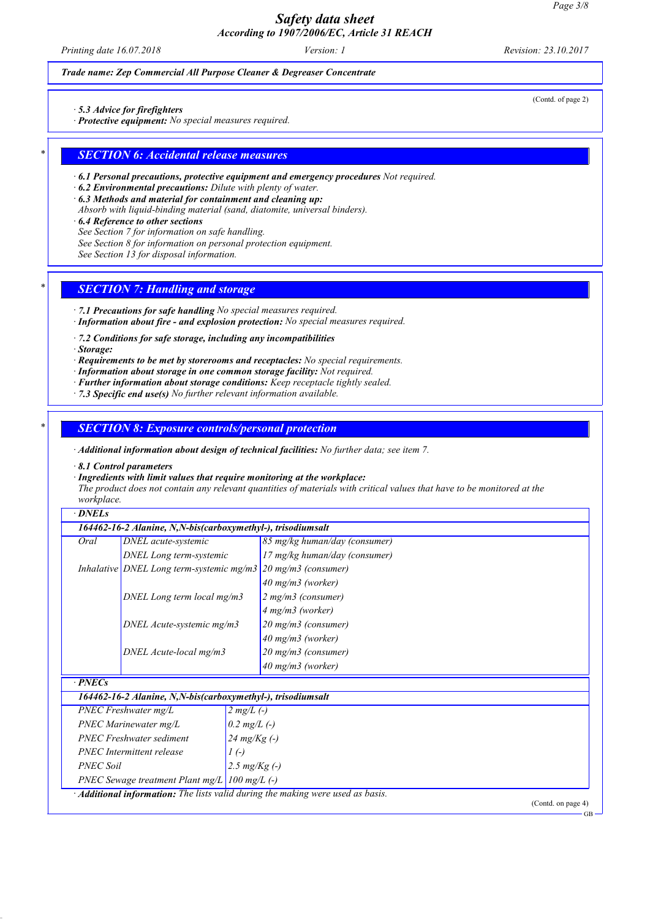*Printing date 16.07.2018 Version: 1 Revision: 23.10.2017*

(Contd. of page 2)

### *Trade name: Zep Commercial All Purpose Cleaner & Degreaser Concentrate*

*· 5.3 Advice for firefighters*

*· Protective equipment: No special measures required.*

### *\* SECTION 6: Accidental release measures*

*· 6.1 Personal precautions, protective equipment and emergency procedures Not required.*

*· 6.2 Environmental precautions: Dilute with plenty of water.*

*· 6.3 Methods and material for containment and cleaning up:*

*Absorb with liquid-binding material (sand, diatomite, universal binders).*

*· 6.4 Reference to other sections*

*See Section 7 for information on safe handling.*

*See Section 8 for information on personal protection equipment.*

*See Section 13 for disposal information.*

### *\* SECTION 7: Handling and storage*

*· 7.1 Precautions for safe handling No special measures required. · Information about fire - and explosion protection: No special measures required.*

*· 7.2 Conditions for safe storage, including any incompatibilities*

*· Storage:*

*· Requirements to be met by storerooms and receptacles: No special requirements.*

*· Information about storage in one common storage facility: Not required.*

*· Further information about storage conditions: Keep receptacle tightly sealed.*

*· 7.3 Specific end use(s) No further relevant information available.*

#### *\* SECTION 8: Exposure controls/personal protection*

*PNEC Soil 2.5 mg/Kg (-) PNEC Sewage treatment Plant mg/L 100 mg/L (-)*

*· Additional information: The lists valid during the making were used as basis.*

*· Additional information about design of technical facilities: No further data; see item 7.*

*· 8.1 Control parameters*

*· Ingredients with limit values that require monitoring at the workplace:*

The product does not contain any relevant quantities of materials with critical values that have to be monitored at the *workplace.*

*· DNELs*

|                                                | 164462-16-2 Alanine, N,N-bis(carboxymethyl-), trisodiumsalt |                                                                               |  |  |
|------------------------------------------------|-------------------------------------------------------------|-------------------------------------------------------------------------------|--|--|
| Oral                                           | DNEL acute-systemic                                         | 85 mg/kg human/day (consumer)                                                 |  |  |
|                                                | DNEL Long term-systemic                                     | 17 mg/kg human/day (consumer)                                                 |  |  |
|                                                |                                                             | Inhalative DNEL Long term-systemic mg/m3 $\frac{20 \text{ mg}}{3}$ (consumer) |  |  |
|                                                |                                                             | $40 \text{ mg/m}$ 3 (worker)                                                  |  |  |
|                                                | DNEL Long term local mg/m3                                  | $2 mg/m3$ (consumer)                                                          |  |  |
|                                                |                                                             | 4 mg/m3 (worker)                                                              |  |  |
|                                                | DNEL Acute-systemic mg/m3                                   | 20 mg/m3 (consumer)                                                           |  |  |
|                                                |                                                             | $40$ mg/m3 (worker)                                                           |  |  |
|                                                | DNEL Acute-local mg/m3                                      | 20 mg/m3 (consumer)                                                           |  |  |
|                                                |                                                             | $40$ mg/m3 (worker)                                                           |  |  |
| $-PNECs$                                       |                                                             |                                                                               |  |  |
|                                                | 164462-16-2 Alanine, N,N-bis(carboxymethyl-), trisodiumsalt |                                                                               |  |  |
|                                                | $PNEC$ Freshwater mg/L                                      | $2 mg/L$ (-)                                                                  |  |  |
| PNEC Marinewater mg/L                          |                                                             | 0.2 $mg/L$ (-)                                                                |  |  |
|                                                | <b>PNEC Freshwater sediment</b>                             | $24 \, mg/Kg(-)$                                                              |  |  |
| <b>PNEC</b> Intermittent release<br>$I(\cdot)$ |                                                             |                                                                               |  |  |

(Contd. on page 4)

GB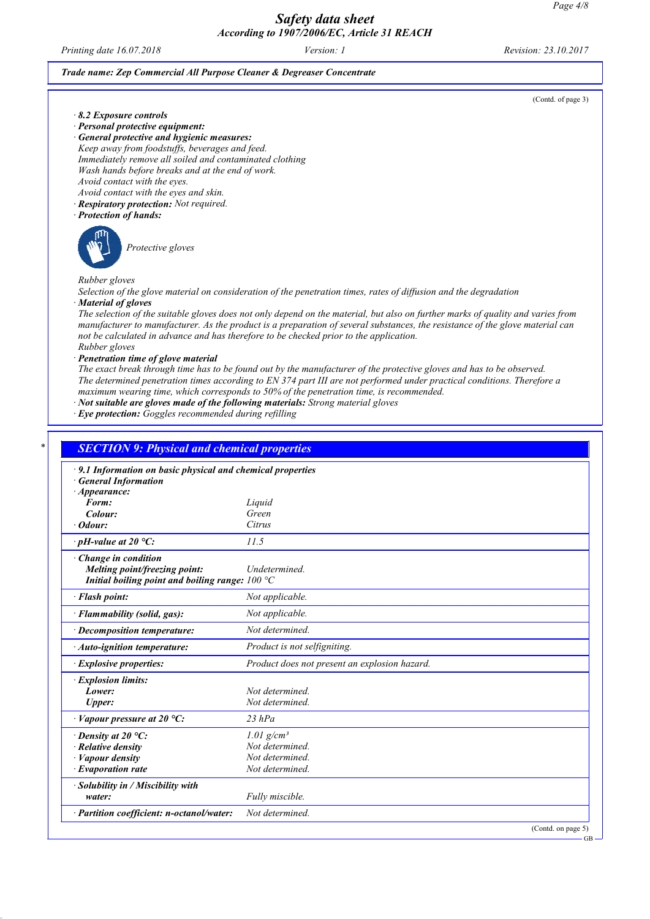*Printing date 16.07.2018 Version: 1 Revision: 23.10.2017*

#### *Trade name: Zep Commercial All Purpose Cleaner & Degreaser Concentrate*

(Contd. of page 3)

GB

- *· 8.2 Exposure controls*
- *· Personal protective equipment: · General protective and hygienic measures: Keep away from foodstuffs, beverages and feed. Immediately remove all soiled and contaminated clothing Wash hands before breaks and at the end of work. Avoid contact with the eyes.*
- *Avoid contact with the eyes and skin.*
- *· Respiratory protection: Not required.*
- *· Protection of hands:*



*Protective gloves*

*Rubber gloves*

Selection of the glove material on consideration of the penetration times, rates of diffusion and the degradation *· Material of gloves*

The selection of the suitable gloves does not only depend on the material, but also on further marks of quality and varies from manufacturer to manufacturer. As the product is a preparation of several substances, the resistance of the glove material can *not be calculated in advance and has therefore to be checked prior to the application. Rubber gloves*

*· Penetration time of glove material*

The exact break through time has to be found out by the manufacturer of the protective gloves and has to be observed. The determined penetration times according to EN 374 part III are not performed under practical conditions. Therefore a *maximum wearing time, which corresponds to 50% of the penetration time, is recommended.*

*· Not suitable are gloves made of the following materials: Strong material gloves*

*· Eye protection: Goggles recommended during refilling*

| · 9.1 Information on basic physical and chemical properties |                                               |  |
|-------------------------------------------------------------|-----------------------------------------------|--|
| <b>General Information</b>                                  |                                               |  |
| $\cdot$ Appearance:                                         |                                               |  |
| Form:                                                       | Liquid                                        |  |
| Colour:                                                     | Green                                         |  |
| $\cdot$ Odour:                                              | Citrus                                        |  |
| $\cdot$ pH-value at 20 °C:                                  | 11.5                                          |  |
| Change in condition                                         |                                               |  |
| Melting point/freezing point:                               | Undetermined.                                 |  |
| Initial boiling point and boiling range: $100 °C$           |                                               |  |
| · Flash point:                                              | Not applicable.                               |  |
| · Flammability (solid, gas):                                | Not applicable.                               |  |
| · Decomposition temperature:                                | Not determined.                               |  |
| $\cdot$ Auto-ignition temperature:                          | Product is not selfigniting.                  |  |
| <i>Explosive properties:</i>                                | Product does not present an explosion hazard. |  |
| · Explosion limits:                                         |                                               |  |
| Lower:                                                      | Not determined.                               |  |
| <b>Upper:</b>                                               | Not determined.                               |  |
| $\cdot$ Vapour pressure at 20 °C:                           | $23$ $hPa$                                    |  |
| $\cdot$ Density at 20 °C:                                   | $1.01$ g/cm <sup>3</sup>                      |  |
| Relative density                                            | Not determined.                               |  |
| · Vapour density                                            | Not determined.                               |  |
| $\cdot$ Evaporation rate                                    | Not determined.                               |  |
| · Solubility in / Miscibility with                          |                                               |  |
| water:                                                      | Fully miscible.                               |  |
| · Partition coefficient: n-octanol/water:                   | Not determined.                               |  |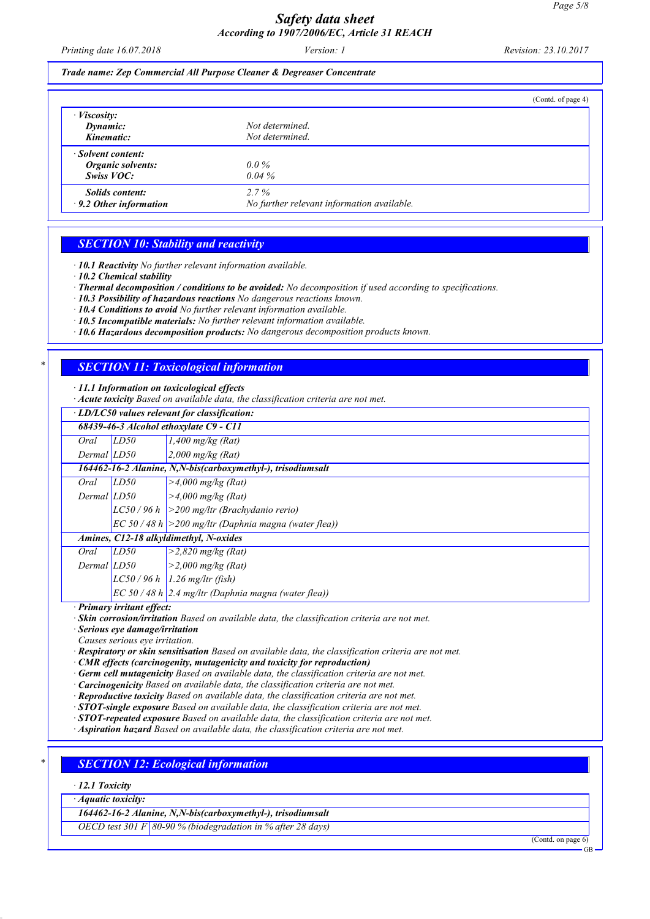*Printing date 16.07.2018 Version: 1 Revision: 23.10.2017*

*Trade name: Zep Commercial All Purpose Cleaner & Degreaser Concentrate*

|                               |                                            | (Contd. of page 4) |
|-------------------------------|--------------------------------------------|--------------------|
| $\cdot$ <i>Viscosity:</i>     |                                            |                    |
| Dynamic:                      | Not determined.                            |                    |
| Kinematic:                    | Not determined.                            |                    |
| Solvent content:              |                                            |                    |
| Organic solvents:             | $0.0\%$                                    |                    |
| Swiss VOC:                    | $0.04\%$                                   |                    |
| <b>Solids content:</b>        | $2.7\%$                                    |                    |
| $\cdot$ 9.2 Other information | No further relevant information available. |                    |

# *SECTION 10: Stability and reactivity*

*· 10.1 Reactivity No further relevant information available.*

- *· 10.2 Chemical stability*
- *· Thermal decomposition / conditions to be avoided: No decomposition if used according to specifications.*
- *· 10.3 Possibility of hazardous reactions No dangerous reactions known.*
- *· 10.4 Conditions to avoid No further relevant information available.*
- *· 10.5 Incompatible materials: No further relevant information available.*
- *· 10.6 Hazardous decomposition products: No dangerous decomposition products known.*

# *\* SECTION 11: Toxicological information*

*· 11.1 Information on toxicological effects*

*· Acute toxicity Based on available data, the classification criteria are not met.*

|                 | LD/LC50 values relevant for classification: |                                                             |  |
|-----------------|---------------------------------------------|-------------------------------------------------------------|--|
|                 | 68439-46-3 Alcohol ethoxylate C9 - C11      |                                                             |  |
| Oral            | LD50                                        | $1,400$ mg/kg (Rat)                                         |  |
| Dermal LD50     |                                             | $2,000$ mg/kg (Rat)                                         |  |
|                 |                                             | 164462-16-2 Alanine, N,N-bis(carboxymethyl-), trisodiumsalt |  |
| Oral            | LD50                                        | $>4,000$ mg/kg (Rat)                                        |  |
| Dermal LD50     |                                             | $>4,000$ mg/kg (Rat)                                        |  |
|                 |                                             | $LC50/96 h$ > 200 mg/ltr (Brachydanio rerio)                |  |
|                 |                                             | $ EC 50 / 48 h  > 200$ mg/ltr (Daphnia magna (water flea))  |  |
|                 |                                             | Amines, C12-18 alkyldimethyl, N-oxides                      |  |
| Oral            | LD50                                        | $>2,820$ mg/kg (Rat)                                        |  |
| $Dermal$ $LD50$ |                                             | >2,000 mg/kg (Rat)                                          |  |
|                 |                                             | $LC50/96 h$ 1.26 mg/ltr (fish)                              |  |
|                 |                                             | $EC 50/48 h$ 2.4 mg/ltr (Daphnia magna (water flea))        |  |
|                 | Drimary irritant offect.                    |                                                             |  |

*· Primary irritant effect:*

*· Skin corrosion/irritation Based on available data, the classification criteria are not met.*

*· Serious eye damage/irritation*

*Causes serious eye irritation.*

*· Respiratory or skin sensitisation Based on available data, the classification criteria are not met.*

*· CMR effects (carcinogenity, mutagenicity and toxicity for reproduction)*

*· Germ cell mutagenicity Based on available data, the classification criteria are not met.*

*· Carcinogenicity Based on available data, the classification criteria are not met.*

*· Reproductive toxicity Based on available data, the classification criteria are not met.*

*· STOT-single exposure Based on available data, the classification criteria are not met.*

*· STOT-repeated exposure Based on available data, the classification criteria are not met.*

*· Aspiration hazard Based on available data, the classification criteria are not met.*

# *\* SECTION 12: Ecological information*

*· 12.1 Toxicity*

*· Aquatic toxicity:*

*164462-16-2 Alanine, N,N-bis(carboxymethyl-), trisodiumsalt*

*OECD test 301 F 80-90 % (biodegradation in % after 28 days)*

(Contd. on page 6)

GB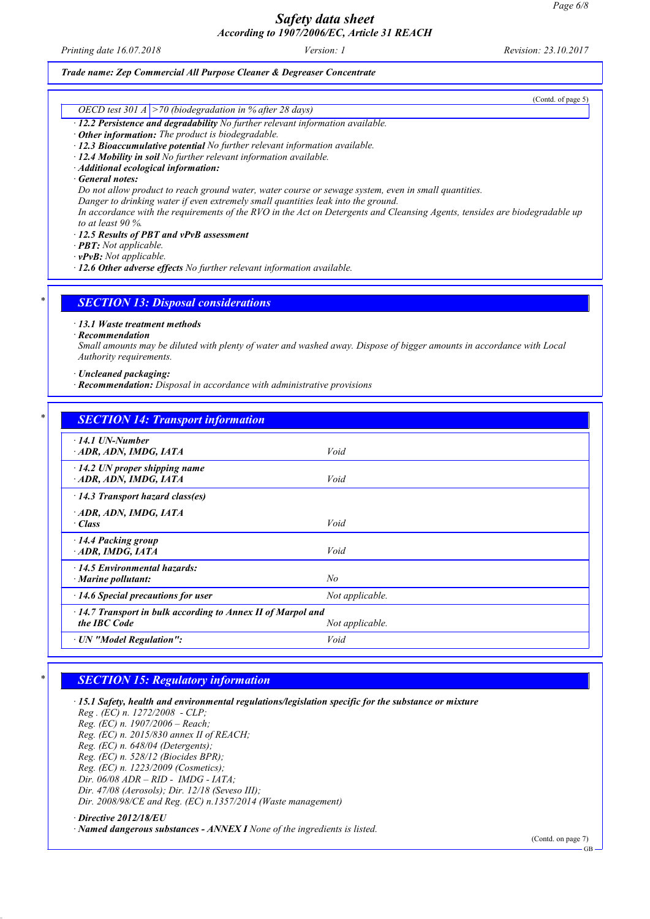*Printing date 16.07.2018 Version: 1 Revision: 23.10.2017*

#### *Trade name: Zep Commercial All Purpose Cleaner & Degreaser Concentrate*

(Contd. of page 5)

# *OECD test 301 A >70 (biodegradation in % after 28 days)*

- *· 12.2 Persistence and degradability No further relevant information available.*
- *· Other information: The product is biodegradable.*
- *· 12.3 Bioaccumulative potential No further relevant information available.*
- *· 12.4 Mobility in soil No further relevant information available.*
- *· Additional ecological information:*

*· General notes:*

*Do not allow product to reach ground water, water course or sewage system, even in small quantities.*

*Danger to drinking water if even extremely small quantities leak into the ground.*

In accordance with the requirements of the RVO in the Act on Detergents and Cleansing Agents, tensides are biodegradable up *to at least 90 %.*

*· 12.5 Results of PBT and vPvB assessment*

*· PBT: Not applicable.*

*· vPvB: Not applicable.*

*· 12.6 Other adverse effects No further relevant information available.*

### *\* SECTION 13: Disposal considerations*

*· 13.1 Waste treatment methods*

*· Recommendation*

Small amounts may be diluted with plenty of water and washed away. Dispose of bigger amounts in accordance with Local *Authority requirements.*

#### *· Uncleaned packaging:*

*· Recommendation: Disposal in accordance with administrative provisions*

| $-14.1$ UN-Number                                                  |                 |
|--------------------------------------------------------------------|-----------------|
| ADR, ADN, IMDG, IATA                                               | Void            |
|                                                                    |                 |
| $\cdot$ 14.2 UN proper shipping name<br>ADR, ADN, IMDG, IATA       | Void            |
|                                                                    |                 |
| 14.3 Transport hazard class(es)                                    |                 |
| ADR, ADN, IMDG, IATA                                               |                 |
| · Class                                                            | Void            |
| 14.4 Packing group                                                 |                 |
| ADR, IMDG, IATA                                                    | Void            |
| 14.5 Environmental hazards:                                        |                 |
| $\cdot$ Marine pollutant:                                          | No              |
| $\cdot$ 14.6 Special precautions for user                          | Not applicable. |
| $\cdot$ 14.7 Transport in bulk according to Annex II of Marpol and |                 |
| the IBC Code                                                       | Not applicable. |

### *\* SECTION 15: Regulatory information*

*· 15.1 Safety, health and environmental regulations/legislation specific for the substance or mixture Reg . (EC) n. 1272/2008 - CLP; Reg. (EC) n. 1907/2006 – Reach; Reg. (EC) n. 2015/830 annex II of REACH; Reg. (EC) n. 648/04 (Detergents); Reg. (EC) n. 528/12 (Biocides BPR); Reg. (EC) n. 1223/2009 (Cosmetics); Dir. 06/08 ADR – RID - IMDG - IATA; Dir. 47/08 (Aerosols); Dir. 12/18 (Seveso III); Dir. 2008/98/CE and Reg. (EC) n.1357/2014 (Waste management) · Directive 2012/18/EU*

*· Named dangerous substances - ANNEX I None of the ingredients is listed.*

(Contd. on page 7)

GB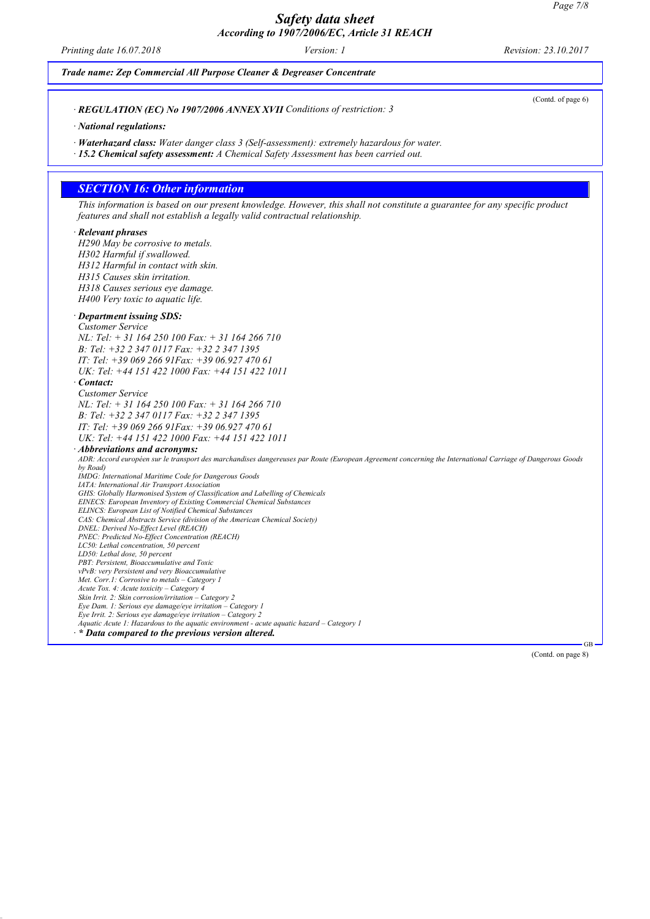*Printing date 16.07.2018 Version: 1 Revision: 23.10.2017*

 $\mathbf{I}$ 

| Trade name: Zep Commercial All Purpose Cleaner & Degreaser Concentrate                                                                                                                                    |
|-----------------------------------------------------------------------------------------------------------------------------------------------------------------------------------------------------------|
| (Contd. of page 6)<br>· REGULATION (EC) No 1907/2006 ANNEX XVII Conditions of restriction: 3                                                                                                              |
| · National regulations:                                                                                                                                                                                   |
| · Waterhazard class: Water danger class 3 (Self-assessment): extremely hazardous for water.<br>· 15.2 Chemical safety assessment: A Chemical Safety Assessment has been carried out.                      |
|                                                                                                                                                                                                           |
| <b>SECTION 16: Other information</b>                                                                                                                                                                      |
| This information is based on our present knowledge. However, this shall not constitute a guarantee for any specific product<br>features and shall not establish a legally valid contractual relationship. |
| · Relevant phrases                                                                                                                                                                                        |
| H290 May be corrosive to metals.                                                                                                                                                                          |
| H302 Harmful if swallowed.                                                                                                                                                                                |
| H312 Harmful in contact with skin.                                                                                                                                                                        |
| H315 Causes skin irritation.                                                                                                                                                                              |
| H318 Causes serious eye damage.                                                                                                                                                                           |
| H400 Very toxic to aquatic life.                                                                                                                                                                          |
| · Department issuing SDS:                                                                                                                                                                                 |
| <b>Customer Service</b>                                                                                                                                                                                   |
| NL: Tel: + 31 164 250 100 Fax: + 31 164 266 710                                                                                                                                                           |
| B: Tel: +32 2 347 0117 Fax: +32 2 347 1395                                                                                                                                                                |
| IT: Tel: $+3906926691$ Fax: $+390692747061$                                                                                                                                                               |
| UK: Tel: +44 151 422 1000 Fax: +44 151 422 1011                                                                                                                                                           |
| Contact:                                                                                                                                                                                                  |
| <b>Customer Service</b>                                                                                                                                                                                   |
| NL: Tel: + 31 164 250 100 Fax: + 31 164 266 710                                                                                                                                                           |
| B: Tel: +32 2 347 0117 Fax: +32 2 347 1395                                                                                                                                                                |
| IT: Tel: $+3906926691Fax$ : $+390692747061$                                                                                                                                                               |
| UK: Tel: +44 151 422 1000 Fax: +44 151 422 1011                                                                                                                                                           |
| · Abbreviations and acronyms:                                                                                                                                                                             |
| ADR: Accord européen sur le transport des marchandises dangereuses par Route (European Agreement concerning the International Carriage of Dangerous Goods<br>by Road)                                     |
| IMDG: International Maritime Code for Dangerous Goods                                                                                                                                                     |
| IATA: International Air Transport Association                                                                                                                                                             |
| GHS: Globally Harmonised System of Classification and Labelling of Chemicals<br>EINECS: European Inventory of Existing Commercial Chemical Substances                                                     |
| ELINCS: European List of Notified Chemical Substances                                                                                                                                                     |
| CAS: Chemical Abstracts Service (division of the American Chemical Society)                                                                                                                               |
| DNEL: Derived No-Effect Level (REACH)<br>PNEC: Predicted No-Effect Concentration (REACH)                                                                                                                  |
| LC50: Lethal concentration, 50 percent                                                                                                                                                                    |
| LD50: Lethal dose, 50 percent                                                                                                                                                                             |
| PBT: Persistent, Bioaccumulative and Toxic<br>vPvB: very Persistent and very Bioaccumulative                                                                                                              |
| Met. Corr.1: Corrosive to metals - Category 1                                                                                                                                                             |
| Acute Tox. 4: Acute toxicity - Category 4                                                                                                                                                                 |
| Skin Irrit. 2: Skin corrosion/irritation – Category 2<br>Eye Dam. 1: Serious eye damage/eye irritation - Category 1                                                                                       |
| Eye Irrit. 2: Serious eye damage/eye irritation - Category 2                                                                                                                                              |
| Aquatic Acute 1: Hazardous to the aquatic environment - acute aquatic hazard - Category 1                                                                                                                 |
| $\cdot *$ Data compared to the previous version altered.                                                                                                                                                  |
| GB<br>(Contd. on page 8)                                                                                                                                                                                  |